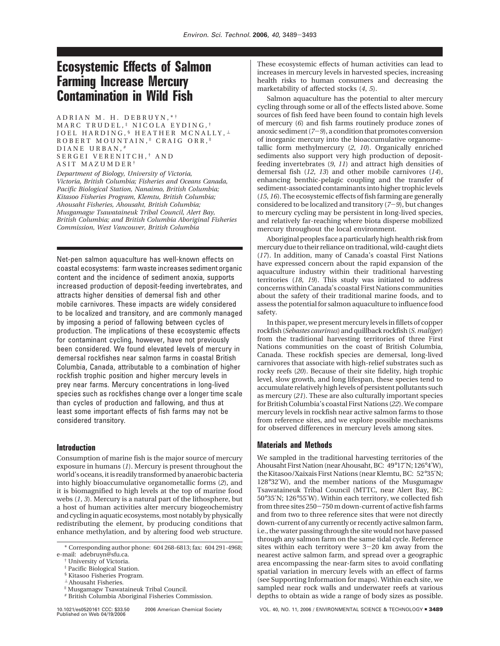# **Ecosystemic Effects of Salmon Farming Increase Mercury Contamination in Wild Fish**

ADRIAN M. H. DEBRUYN,\* † MARC TRUDEL, ‡ NICOLA EYDING, † JOEL HARDING, § HEATHER MCNALLY, <sup>⊥</sup> ROBERT MOUNTAIN,<sup>#</sup> CRAIG ORR,<sup>#</sup> DIANE URBAN, # SERGEI VERENITCH, † AND ASIT MAZUMDER †

*Department of Biology, University of Victoria, Victoria, British Columbia; Fisheries and Oceans Canada, Pacific Biological Station, Nanaimo, British Columbia; Kitasoo Fisheries Program, Klemtu, British Columbia; Ahousaht Fisheries, Ahousaht, British Columbia; Musgamagw Tsawataineuk Tribal Council, Alert Bay, British Columbia; and British Columbia Aboriginal Fisheries Commission, West Vancouver, British Columbia*

Net-pen salmon aquaculture has well-known effects on coastal ecosystems: farm waste increases sediment organic content and the incidence of sediment anoxia, supports increased production of deposit-feeding invertebrates, and attracts higher densities of demersal fish and other mobile carnivores. These impacts are widely considered to be localized and transitory, and are commonly managed by imposing a period of fallowing between cycles of production. The implications of these ecosystemic effects for contaminant cycling, however, have not previously been considered. We found elevated levels of mercury in demersal rockfishes near salmon farms in coastal British Columbia, Canada, attributable to a combination of higher rockfish trophic position and higher mercury levels in prey near farms. Mercury concentrations in long-lived species such as rockfishes change over a longer time scale than cycles of production and fallowing, and thus at least some important effects of fish farms may not be considered transitory.

## **Introduction**

Consumption of marine fish is the major source of mercury exposure in humans (*1*). Mercury is present throughout the world's oceans, it is readily transformed by anaerobic bacteria into highly bioaccumulative organometallic forms (*2*), and it is biomagnified to high levels at the top of marine food webs (*1*, *3*). Mercury is a natural part of the lithosphere, but a host of human activities alter mercury biogeochemistry and cycling in aquatic ecosystems, most notably by physically redistributing the element, by producing conditions that enhance methylation, and by altering food web structure.

† University of Victoria.

These ecosystemic effects of human activities can lead to increases in mercury levels in harvested species, increasing health risks to human consumers and decreasing the marketability of affected stocks (*4*, *5*).

Salmon aquaculture has the potential to alter mercury cycling through some or all of the effects listed above. Some sources of fish feed have been found to contain high levels of mercury (*6*) and fish farms routinely produce zones of anoxic sediment (*7*-*9*), a condition that promotes conversion of inorganic mercury into the bioaccumulative organometallic form methylmercury (*2*, *10*). Organically enriched sediments also support very high production of depositfeeding invertebrates (*9*, *11*) and attract high densities of demersal fish (*12*, *13*) and other mobile carnivores (*14*), enhancing benthic-pelagic coupling and the transfer of sediment-associated contaminants into higher trophic levels (*15*, *16*). The ecosystemic effects of fish farming are generally considered to be localized and transitory (*7*-*9*), but changes to mercury cycling may be persistent in long-lived species, and relatively far-reaching where biota disperse mobilized mercury throughout the local environment.

Aboriginal peoples face a particularly high health risk from mercury due to their reliance on traditional, wild-caught diets (*17*). In addition, many of Canada's coastal First Nations have expressed concern about the rapid expansion of the aquaculture industry within their traditional harvesting territories (*18*, *19*). This study was initiated to address concerns within Canada's coastal First Nations communities about the safety of their traditional marine foods, and to assess the potential for salmon aquaculture to influence food safety.

In this paper, we present mercury levels in fillets of copper rockfish (*Sebastes caurinus*) and quillback rockfish (*S. maliger*) from the traditional harvesting territories of three First Nations communities on the coast of British Columbia, Canada. These rockfish species are demersal, long-lived carnivores that associate with high-relief substrates such as rocky reefs (*20*). Because of their site fidelity, high trophic level, slow growth, and long lifespan, these species tend to accumulate relatively high levels of persistent pollutants such as mercury (*21*). These are also culturally important species for British Columbia's coastal First Nations (*22*). We compare mercury levels in rockfish near active salmon farms to those from reference sites, and we explore possible mechanisms for observed differences in mercury levels among sites.

### **Materials and Methods**

We sampled in the traditional harvesting territories of the Ahousaht First Nation (near Ahousaht, BC: 49°17′N; 126°4′W), the Kitasoo/Xaixais First Nations (near Klemtu, BC: 52°35′N; 128°32′W), and the member nations of the Musgumagw Tsawataineuk Tribal Council (MTTC, near Alert Bay, BC: 50°35′N; 126°55′W). Within each territory, we collected fish from three sites 250-750 m down-current of active fish farms and from two to three reference sites that were not directly down-current of any currently or recently active salmon farm, i.e., the water passing through the site would not have passed through any salmon farm on the same tidal cycle. Reference sites within each territory were 3-20 km away from the nearest active salmon farm, and spread over a geographic area encompassing the near-farm sites to avoid conflating spatial variation in mercury levels with an effect of farms (see Supporting Information for maps). Within each site, we sampled near rock walls and underwater reefs at various depths to obtain as wide a range of body sizes as possible.

10.1021/es0520161 CCC: \$33.50 2006 American Chemical Society VOL. 40, NO. 11, 2006 / ENVIRONMENTAL SCIENCE & TECHNOLOGY <sup>9</sup> **3489**

<sup>\*</sup> Corresponding author phone: 604 268-6813; fax: 604 291-4968; e-mail: adebruyn@sfu.ca.

<sup>‡</sup> Pacific Biological Station.

<sup>§</sup> Kitasoo Fisheries Program.

 $^\perp$  Ahousaht Fisheries.

<sup>|</sup> Musgamagw Tsawataineuk Tribal Council.

<sup>#</sup> British Columbia Aboriginal Fisheries Commission.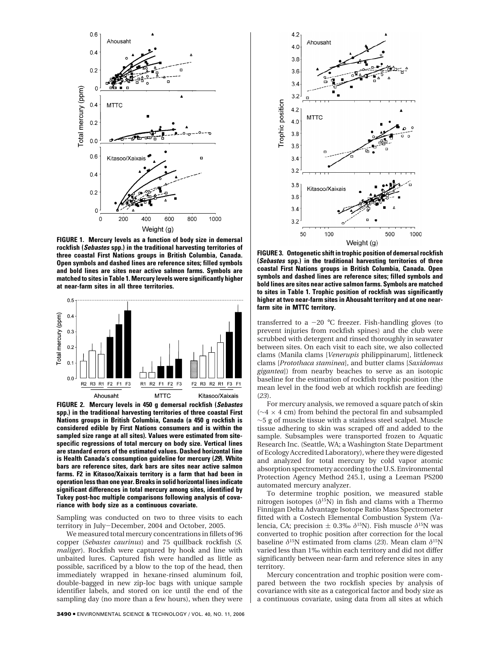

**FIGURE 1. Mercury levels as a function of body size in demersal rockfish (Sebastes spp.) in the traditional harvesting territories of three coastal First Nations groups in British Columbia, Canada. Open symbols and dashed lines are reference sites; filled symbols and bold lines are sites near active salmon farms. Symbols are matched to sites in Table 1. Mercury levels were significantly higher at near-farm sites in all three territories.**



**FIGURE 2. Mercury levels in 450 g demersal rockfish (Sebastes spp.) in the traditional harvesting territories of three coastal First Nations groups in British Columbia, Canada (a 450 g rockfish is considered edible by First Nations consumers and is within the sampled size range at all sites). Values were estimated from sitespecific regressions of total mercury on body size. Vertical lines are standard errors of the estimated values. Dashed horizontal line is Health Canada's consumption guideline for mercury (29). White bars are reference sites, dark bars are sites near active salmon farms. F2 in Kitasoo/Xaixais territory is a farm that had been in operation less than one year. Breaks in solid horizontal lines indicate significant differences in total mercury among sites, identified by Tukey post-hoc multiple comparisons following analysis of covariance with body size as a continuous covariate.**

Sampling was conducted on two to three visits to each territory in July-December, 2004 and October, 2005.

We measured total mercury concentrations in fillets of 96 copper (*Sebastes caurinus*) and 75 quillback rockfish (*S. maliger*). Rockfish were captured by hook and line with unbaited lures. Captured fish were handled as little as possible, sacrificed by a blow to the top of the head, then immediately wrapped in hexane-rinsed aluminum foil, double-bagged in new zip-loc bags with unique sample identifier labels, and stored on ice until the end of the sampling day (no more than a few hours), when they were



**FIGURE 3. Ontogenetic shift in trophic position of demersal rockfish (Sebastes spp.) in the traditional harvesting territories of three coastal First Nations groups in British Columbia, Canada. Open symbols and dashed lines are reference sites; filled symbols and bold lines are sites near active salmon farms. Symbols are matched to sites in Table 1. Trophic position of rockfish was significantly higher at two near-farm sites in Ahousaht territory and at one nearfarm site in MTTC territory.**

transferred to a  $-20$  °C freezer. Fish-handling gloves (to prevent injuries from rockfish spines) and the club were scrubbed with detergent and rinsed thoroughly in seawater between sites. On each visit to each site, we also collected clams (Manila clams [*Venerupis* philippinarum], littleneck clams [*Protothaca staminea*], and butter clams [*Saxidomus gigantea*]) from nearby beaches to serve as an isotopic baseline for the estimation of rockfish trophic position (the mean level in the food web at which rockfish are feeding) (*23*).

For mercury analysis, we removed a square patch of skin (∼4 × 4 cm) from behind the pectoral fin and subsampled ∼5 g of muscle tissue with a stainless steel scalpel. Muscle tissue adhering to skin was scraped off and added to the sample. Subsamples were transported frozen to Aquatic Research Inc. (Seattle, WA; a Washington State Department of Ecology Accredited Laboratory), where they were digested and analyzed for total mercury by cold vapor atomic absorption spectrometry according to the U.S. Environmental Protection Agency Method 245.1, using a Leeman PS200 automated mercury analyzer.

To determine trophic position, we measured stable nitrogen isotopes  $(\delta^{15}N)$  in fish and clams with a Thermo Finnigan Delta Advantage Isotope Ratio Mass Spectrometer fitted with a Costech Elemental Combustion System (Valencia, CA; precision  $\pm$  0.3‰  $\delta$ <sup>15</sup>N). Fish muscle  $\delta$ <sup>15</sup>N was converted to trophic position after correction for the local baseline *δ*15N estimated from clams (*23*). Mean clam *δ*15N varied less than 1‰ within each territory and did not differ significantly between near-farm and reference sites in any territory.

Mercury concentration and trophic position were compared between the two rockfish species by analysis of covariance with site as a categorical factor and body size as a continuous covariate, using data from all sites at which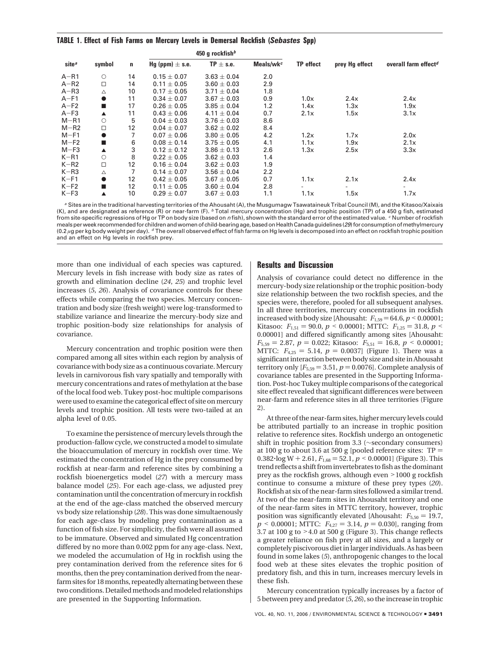**TABLE 1. Effect of Fish Farms on Mercury Levels in Demersal Rockfish (***Sebastes* **Spp)**

| site <sup>a</sup> | symbol           | n  | 450 g rockfish $^b$ |                 |                       |           |                |                                  |
|-------------------|------------------|----|---------------------|-----------------|-----------------------|-----------|----------------|----------------------------------|
|                   |                  |    | Hg (ppm) $\pm$ s.e. | TP $\pm$ s.e.   | Meals/wk <sup>c</sup> | TP effect | prey Hg effect | overall farm effect <sup>d</sup> |
| $A - R1$          | $\circ$          | 14 | $0.15 \pm 0.07$     | $3.63 \pm 0.04$ | 2.0                   |           |                |                                  |
| $A-R2$            | $\Box$           | 14 | $0.11 \pm 0.05$     | $3.60 \pm 0.03$ | 2.9                   |           |                |                                  |
| $A - R3$          | Δ                | 10 | $0.17 \pm 0.05$     | $3.71 \pm 0.04$ | 1.8                   |           |                |                                  |
| $A-F1$            | $\bullet$        | 11 | $0.34 \pm 0.07$     | $3.67 \pm 0.03$ | 0.9                   | 1.0x      | 2.4x           | 2.4x                             |
| $A-F2$            | ш                | 17 | $0.26 \pm 0.05$     | $3.85 \pm 0.04$ | 1.2                   | 1.4x      | 1.3x           | 1.9x                             |
| $A-F3$            | $\blacktriangle$ | 11 | $0.43 \pm 0.06$     | $4.11 \pm 0.04$ | 0.7                   | 2.1x      | 1.5x           | 3.1x                             |
| $M - R1$          | $\circ$          | 5  | $0.04 \pm 0.03$     | $3.76 \pm 0.03$ | 8.6                   |           |                |                                  |
| $M-R2$            | $\Box$           | 12 | $0.04 \pm 0.07$     | $3.62 \pm 0.02$ | 8.4                   |           |                |                                  |
| $M-F1$            | $\bullet$        |    | $0.07 \pm 0.06$     | $3.80 \pm 0.05$ | 4.2                   | 1.2x      | 1.7x           | 2.0x                             |
| $M-F2$            | п                | 6  | $0.08 \pm 0.14$     | $3.75 \pm 0.05$ | 4.1                   | 1.1x      | 1.9x           | 2.1x                             |
| $M-F3$            | $\blacktriangle$ | 3  | $0.12 \pm 0.12$     | $3.86 \pm 0.13$ | 2.6                   | 1.3x      | 2.5x           | 3.3x                             |
| $K - R1$          | $\circ$          | 8  | $0.22 \pm 0.05$     | $3.62 \pm 0.03$ | 1.4                   |           |                |                                  |
| $K-R2$            | $\Box$           | 12 | $0.16 \pm 0.04$     | $3.62 \pm 0.03$ | 1.9                   |           |                |                                  |
| $K-R3$            | Δ                | 7  | $0.14 \pm 0.07$     | $3.56 \pm 0.04$ | 2.2                   |           |                |                                  |
| $K-F1$            | $\bullet$        | 12 | $0.42 \pm 0.05$     | $3.67 \pm 0.05$ | 0.7                   | 1.1x      | 2.1x           | 2.4x                             |
| $K-F2$            | ш                | 12 | $0.11 \pm 0.05$     | $3.60 \pm 0.04$ | 2.8                   |           |                |                                  |
| $K-F3$            | ▲                | 10 | $0.29 \pm 0.07$     | $3.67 \pm 0.03$ | 1.1                   | 1.1x      | 1.5x           | 1.7x                             |

<sup>a</sup> Sites are in the traditional harvesting territories of the Ahousaht (A), the Musgumagw Tsawataineuk Tribal Council (M), and the Kitasoo/Xaixais (K), and are designated as reference (R) or near-farm (F).  $^b$  Total mercury concentration (Hg) and trophic position (TP) of a 450 g fish, estimated from site-specific regressions of Hg or TP on body size (based on n fish), shown with the standard error of the estimated value. <sup>c</sup> Number of rockfish meals per week recommended for children and women of child-bearing age, based on Health Canada guidelines (29) for consumption of methylmercury (0.2 µg per kg body weight per day). <sup>d</sup> The overall observed effect of fish farms on Hg levels is decomposed into an effect on rockfish trophic position and an effect on Hg levels in rockfish prey.

more than one individual of each species was captured. Mercury levels in fish increase with body size as rates of growth and elimination decline (*24*, *25*) and trophic level increases (*5*, *26*). Analysis of covariance controls for these effects while comparing the two species. Mercury concentration and body size (fresh weight) were log-transformed to stabilize variance and linearize the mercury-body size and trophic position-body size relationships for analysis of covariance.

Mercury concentration and trophic position were then compared among all sites within each region by analysis of covariance with body size as a continuous covariate. Mercury levels in carnivorous fish vary spatially and temporally with mercury concentrations and rates of methylation at the base of the local food web. Tukey post-hoc multiple comparisons were used to examine the categorical effect of site on mercury levels and trophic position. All tests were two-tailed at an alpha level of 0.05.

To examine the persistence of mercury levels through the production-fallow cycle, we constructed a model to simulate the bioaccumulation of mercury in rockfish over time. We estimated the concentration of Hg in the prey consumed by rockfish at near-farm and reference sites by combining a rockfish bioenergetics model (*27*) with a mercury mass balance model (*25*). For each age-class, we adjusted prey contamination until the concentration of mercury in rockfish at the end of the age-class matched the observed mercury vs body size relationship (*28*). This was done simultaenously for each age-class by modeling prey contamination as a function of fish size. For simplicity, the fish were all assumed to be immature. Observed and simulated Hg concentration differed by no more than 0.002 ppm for any age-class. Next, we modeled the accumulation of Hg in rockfish using the prey contamination derived from the reference sites for 6 months, then the prey contamination derived from the nearfarm sites for 18 months, repeatedly alternating between these two conditions. Detailed methods and modeled relationships are presented in the Supporting Information.

### **Results and Discussion**

Analysis of covariance could detect no difference in the mercury-body size relationship or the trophic position-body size relationship between the two rockfish species, and the species were, therefore, pooled for all subsequent analyses. In all three territories, mercury concentrations in rockfish increased with body size [Ahousaht:  $F_{1,59} = 64.6$ ,  $p \le 0.00001$ ; Kitasoo:  $F_{1,51} = 90.0, p \le 0.00001$ ; MTTC:  $F_{1,25} = 31.8, p \le$ 0.00001] and differed significantly among sites [Ahousaht:  $F_{5,59} = 2.87, p = 0.022$ ; Kitasoo:  $F_{5,51} = 16.8, p < 0.00001$ ; MTTC:  $F_{4,25} = 5.14$ ,  $p = 0.0037$ ] (Figure 1). There was a significant interaction between body size and site in Ahousaht territory only  $[F_{5,59} = 3.51, p = 0.0076]$ . Complete analysis of covariance tables are presented in the Supporting Information. Post-hoc Tukey multiple comparisons of the categorical site effect revealed that significant differences were between near-farm and reference sites in all three territories (Figure 2).

At three of the near-farm sites, higher mercury levels could be attributed partially to an increase in trophic position relative to reference sites. Rockfish undergo an ontogenetic shift in trophic position from 3.3 (∼secondary consumers) at 100 g to about 3.6 at 500 g [pooled reference sites:  $TP =$  $0.382 \cdot \log W + 2.61$ ,  $F_{1,68} = 52.1$ ,  $p < 0.00001$  (Figure 3). This trend reflects a shift from invertebrates to fish as the dominant prey as the rockfish grows, although even >1000 g rockfish continue to consume a mixture of these prey types (*20*). Rockfish at six of the near-farm sites followed a similar trend. At two of the near-farm sites in Ahousaht territory and one of the near-farm sites in MTTC territory, however, trophic position was significantly elevated [Ahousaht:  $F_{5,50} = 19.7$ ,  $p \le 0.00001$ ; MTTC:  $F_{4,27} = 3.14$ ,  $p = 0.030$ ], ranging from  $3.7$  at 100 g to  $>4.0$  at 500 g (Figure 3). This change reflects a greater reliance on fish prey at all sizes, and a largely or completely piscivorous diet in larger individuals. As has been found in some lakes (*5*), anthropogenic changes to the local food web at these sites elevates the trophic position of predatory fish, and this in turn, increases mercury levels in these fish.

Mercury concentration typically increases by a factor of 5 between prey and predator (*5*, *26*), so the increase in trophic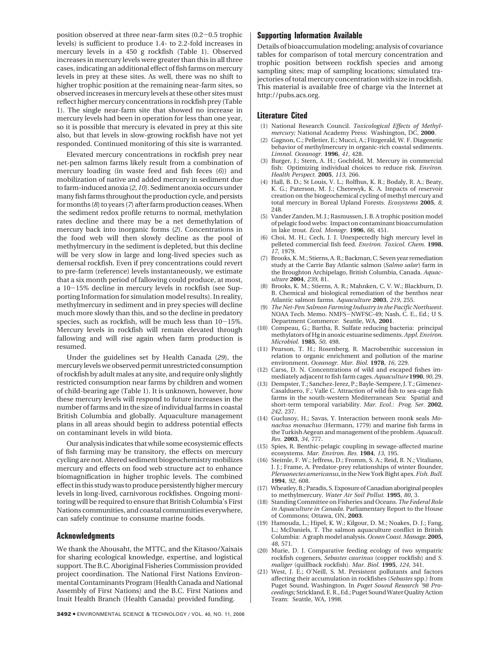position observed at three near-farm sites (0.2-0.5 trophic levels) is sufficient to produce 1.4- to 2.2-fold increases in mercury levels in a 450 g rockfish (Table 1). Observed increases in mercury levels were greater than this in all three cases, indicating an additional effect of fish farms on mercury levels in prey at these sites. As well, there was no shift to higher trophic position at the remaining near-farm sites, so observed increases in mercury levels at these other sites must reflect higher mercury concentrations in rockfish prey (Table 1). The single near-farm site that showed no increase in mercury levels had been in operation for less than one year, so it is possible that mercury is elevated in prey at this site also, but that levels in slow-growing rockfish have not yet responded. Continued monitoring of this site is warranted.

Elevated mercury concentrations in rockfish prey near net-pen salmon farms likely result from a combination of mercury loading (in waste feed and fish feces (*6*)) and mobilization of native and added mercury in sediment due to farm-induced anoxia (*2*, *10*). Sediment anoxia occurs under many fish farms throughout the production cycle, and persists for months (*8*) to years (*7*) after farm production ceases. When the sediment redox profile returns to normal, methylation rates decline and there may be a net demethylation of mercury back into inorganic forms (*2*). Concentrations in the food web will then slowly decline as the pool of methylmercury in the sediment is depleted, but this decline will be very slow in large and long-lived species such as demersal rockfish. Even if prey concentrations could revert to pre-farm (reference) levels instantaneously, we estimate that a six month period of fallowing could produce, at most, a 10-15% decline in mercury levels in rockfish (see Supporting Information for simulation model results). In reality, methylmercury in sediment and in prey species will decline much more slowly than this, and so the decline in predatory species, such as rockfish, will be much less than  $10-15\%$ . Mercury levels in rockfish will remain elevated through fallowing and will rise again when farm production is resumed.

Under the guidelines set by Health Canada (*29*), the mercury levels we observed permit unrestricted consumption of rockfish by adult males at any site, and require only slightly restricted consumption near farms by children and women of child-bearing age (Table 1). It is unknown, however, how these mercury levels will respond to future increases in the number of farms and in the size of individual farms in coastal British Columbia and globally. Aquaculture management plans in all areas should begin to address potential effects on contaminant levels in wild biota.

Our analysis indicates that while some ecosystemic effects of fish farming may be transitory, the effects on mercury cycling are not. Altered sediment biogeochemistry mobilizes mercury and effects on food web structure act to enhance biomagnification in higher trophic levels. The combined effect in this study was to produce persistently higher mercury levels in long-lived, carnivorous rockfishes. Ongoing monitoring will be required to ensure that British Columbia's First Nations communities, and coastal communities everywhere, can safely continue to consume marine foods.

#### **Acknowledgments**

We thank the Ahousaht, the MTTC, and the Kitasoo/Xaixais for sharing ecological knowledge, expertise, and logistical support. The B.C. Aboriginal Fisheries Commission provided project coordination. The National First Nations Environmental Contaminants Program (Health Canada and National Assembly of First Nations) and the B.C. First Nations and Inuit Health Branch (Health Canada) provided funding.

## **Supporting Information Available**

Details of bioaccumulation modeling; analysis of covariance tables for comparison of total mercury concentration and trophic position between rockfish species and among sampling sites; map of sampling locations; simulated trajectories of total mercury concentration with size in rockfish. This material is available free of charge via the Internet at http://pubs.acs.org.

#### **Literature Cited**

- (1) National Research Council. *Toxicological Effects of Methylmercury;* National Academy Press: Washington, DC, **2000**.
- (2) Gagnon, C.; Pelletier, E.; Mucci, A.; Fitzgerald, W. F. Diagenetic behavior of methylmercury in organic-rich coastal sediments. *Limnol. Oceanogr.* **1996**, *41*, 428.
- (3) Burger, J.; Stern, A. H.; Gochfeld, M. Mercury in commercial fish: Optimizing individual choices to reduce risk. *Environ. Health Perspect.* **2005**, *113*, 266.
- (4) Hall, B. D.; St Louis, V. L.; Rolfhus, K. R.; Bodaly, R. A.; Beaty, K. G.; Paterson, M. J.; Cherewyk, K. A. Impacts of reservoir creation on the biogeochemical cycling of methyl mercury and total mercury in Boreal Upland Forests. *Ecosystems* **2005**, *8*, 248.
- (5) Vander Zanden, M. J.; Rasmussen, J. B. A trophic position model of pelagic food webs: Impact on contaminant bioaccumulation in lake trout. *Ecol. Monogr.* **1996**, *66*, 451.
- (6) Choi, M. H.; Cech, J. J. Unexpectedly high mercury level in pelleted commercial fish feed. *Environ. Toxicol. Chem.* **1998**, *17*, 1979.
- (7) Brooks, K. M.; Stierns, A. R.; Backman, C. Seven year remediation study at the Carrie Bay Atlantic salmon (*Salmo salar*) farm in the Broughton Archipelago, British Columbia, Canada. *Aquaculture* **2004**, *239*, 81.
- (8) Brooks, K. M.; Stierns, A. R.; Mahnken, C. V. W.; Blackburn, D. B. Chemical and biological remediation of the benthos near Atlantic salmon farms. *Aquaculture* **2003**, *219*, 255.
- (9) *The Net-Pen Salmon Farming Industry in the Pacific Northwest*. NOAA Tech. Memo. NMFS-NWFSC-49; Nash, C. E., Ed.; U S. Department Commerce: Seattle, WA, **2001**.
- (10) Compeau, G.; Bartha, R. Sulfate reducing bacteria: principal methylators of Hg in anoxic estuarine sediments. *Appl. Environ. Microbiol.* **1985**, *50*, 498.
- (11) Pearson, T. H.; Rosenberg, R. Macrobenthic succession in relation to organic enrichment and pollution of the marine environment. *Oceanogr. Mar. Biol.* **1978**, *16*, 229.
- (12) Carss, D. N. Concentrations of wild and escaped fishes immediately adjacent to fish farm cages. *Aquaculture* **1990**, *90*, 29.
- (13) Dempster, T.; Sanchez-Jerez, P.; Bayle-Sempere, J. T.; Gimenez-Casalduero, F.; Valle C. Attraction of wild fish to sea-cage fish farms in the south-western Mediterranean Sea: Spatial and short-term temporal variability. *Mar. Ecol.: Prog. Ser.* **2002**, *242*, 237.
- (14) Guclusoy, H.; Savas, Y. Interaction between monk seals *Monachus monachus* (Hermann, 1779) and marine fish farms in the Turkish Aegean and management of the problem. *Aquacult. Res.* **2003**, *34*, 777.
- (15) Spies, R. Benthic-pelagic coupling in sewage-affected marine ecosystems. *Mar. Environ. Res.* **1984**, *13*, 195.
- (16) Steimle, F. W.; Jeffress, D.; Fromm, S. A.; Reid, R. N.; Vitaliano, J. J.; Frame, A. Predator-prey relationships of winter flounder, *Pleruonectes americanus*, in the New York Bight apex. *Fish. Bull.* **1994**, *92*, 608.
- (17) Wheatley, B.; Paradis, S. Exposure of Canadian aboriginal peoples to methylmercury. *Water Air Soil Pollut.* **1995**, *80*, 3.
- (18) Standing Committee on Fisheries and Oceans. *The Federal Role in Aquaculture in Canada*. Parliamentary Report to the House of Commons; Ottawa, ON, **2003**.
- (19) Hamouda, L.; Hipel, K. W.; Kilgour, D. M.; Noakes, D. J.; Fang, L.; McDaniels, T. The salmon aquaculture conflict in British Columbia: A graph model analysis. *Ocean Coast. Manage.* **2005**, *48*, 571.
- (20) Murie, D. J. Comparative feeding ecology of two sympatric rockfish cogeners, *Sebastes caurinus* (copper rockfish) and *S. maliger* (quillback rockfish). *Mar. Biol.* **1995**, *124*, 341.
- (21) West, J. E.; O'Neill, S. M. Persistent pollutants and factors affecting their accumulation in rockfishes (*Sebastes* spp.) from Puget Sound, Washington. In *Puget Sound Research '98 Proceedings;* Strickland, E. R., Ed.; Puget Sound Water Quality Action Team: Seattle, WA, 1998.